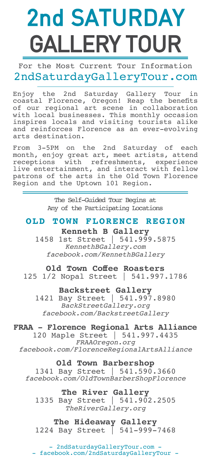# [2nd SATURDAY](http://2ndsaturdaygallerytour.com) GALLERY TOUR

For the Most Current Tour Information 2ndSaturdayGalleryTour.com

Enjoy the 2nd Saturday Gallery Tour in coastal Florence, Oregon! Reap the benefits of our regional art scene in collaboration with local businesses. This monthly occasion inspires locals and visiting tourists alike and reinforces Florence as an ever-evolving arts destination.

From 3-5PM on the 2nd Saturday of each month, enjoy great art, meet artists, attend receptions with refreshments, experience live entertainment, and interact with fellow patrons of the arts in the Old Town Florence Region and the Uptown 101 Region.

> The Self-Guided Tour Begins at Any of the Participating Locations

### **OLD TOWN FLORENCE REGION**

**Kenneth B Gallery** [1458 1st Street | 541.999.5875](http://www.kennethbgallery.com/) *KennethBGallery.com [facebook.com/KennethBGallery](https://www.facebook.com/KennethBGallery)*

#### **Old Town Coffee Roasters**

125 1/2 Nopal Street | 541.997.1786

**Backstreet Gallery**

[1421 Bay Street | 541.997.8980](http://backstreetgallery.org/) *BackStreetGallery.org [facebook.com/BackstreetGallery](https://www.facebook.com/BackstreetGallery/)*

#### **[FRAA - Florence Regional Arts Alliance](http://www.fraaoregon.org/)**

120 Maple Street | 541.997.4435 *FRAAOregon.org [facebook.com/FlorenceRegionalArtsAlliance](https://www.facebook.com/FlorenceRegionalArtsAlliance)*

#### **Old Town Barbershop**

1341 Bay Street | 541.590.3660 *[facebook.com/OldTownBarberShopFlorence](https://www.facebook.com/oldtownbarbershopflorence/?fref=ts)*

#### **The River Gallery**

[1335 Bay Street | 541.902.2505](http://therivergallery.org/) *TheRiverGallery.org*

#### **The Hideaway Gallery**

1224 Bay Street | 541-999-7468

[- 2ndSaturdayGalleryTour.com -](http://2ndsaturdaygallerytour.com) [- facebook.com/2ndSaturdayGalleryTour -](https://www.facebook.com/2ndSaturdayGalleryTour?_rdr=p)